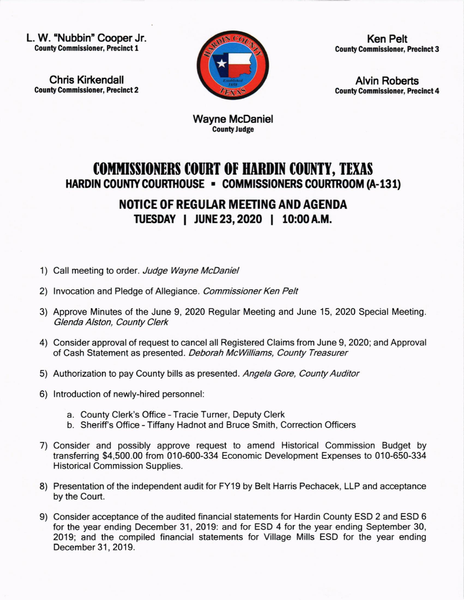L. W. 'Nubbin' Cooper Jr. **County Commissioner, Precinct 1** 

Chris Kirkendall **County Commissioner, Precinct 2** 



Ken Pelt **County Commissioner, Precinct 3** 

Alvin Roberts **County Commissioner, Precinct 4** 

Wayne McDaniel County Judge

## **COMMISSIONERS COURT OF HARDIN COUNTY, TEXAS** HARDIN COUNTY COURTHOUSE . COMMISSIONERS COURTROOM (A-131)

## NOTICE OF REGULAR MEETING AND AGENDA ruESDAY I JUNE23,2O2O | 10:00A,M.

- 1) Call meeting to order. Judge Wayne McDaniel
- 2) Invocation and Pledge of Allegiance. Commissioner Ken Pelt
- 3) Approve Minutes of the June 9,2020 Regular Meeting and June 15,2020 Special Meeting. Glenda Alston, County Clerk
- 4) Consider approval of request to cancel all Registered Claims from June 9, 2020; and Approval of Cash Statement as presented. Deborah McWilliams, County Treasurer
- 5) Authorization to pay County bills as presented. Angela Gore, County Auditor
- 6) lntroduction of newly-hired personnel:
	- a. County Clerk's Office Tracie Turner, Deputy Clerk
	- b. Sheriff's Office Tiffany Hadnot and Bruce Smith, Correction Officers
- 7) Consider and possibly approve request to amend Historical Commission Budget by transferring \$4,500.00 from 010-600-334 Economic Development Expenses to 010-650-334 Historical Commission Supplies.
- 8) Presentation of the independent audit for FY19 by Belt Harris Pechacek, LLP and acceptance by the Court.
- 9) Consider acceptance of the audited financial statements for Hardin County ESD 2 and ESD 6 for the year ending December 31, 2019: and for ESD 4 for the year ending September 30, 2019; and the compiled financial statements for Village Mills ESD for the year ending December 31, 2019.